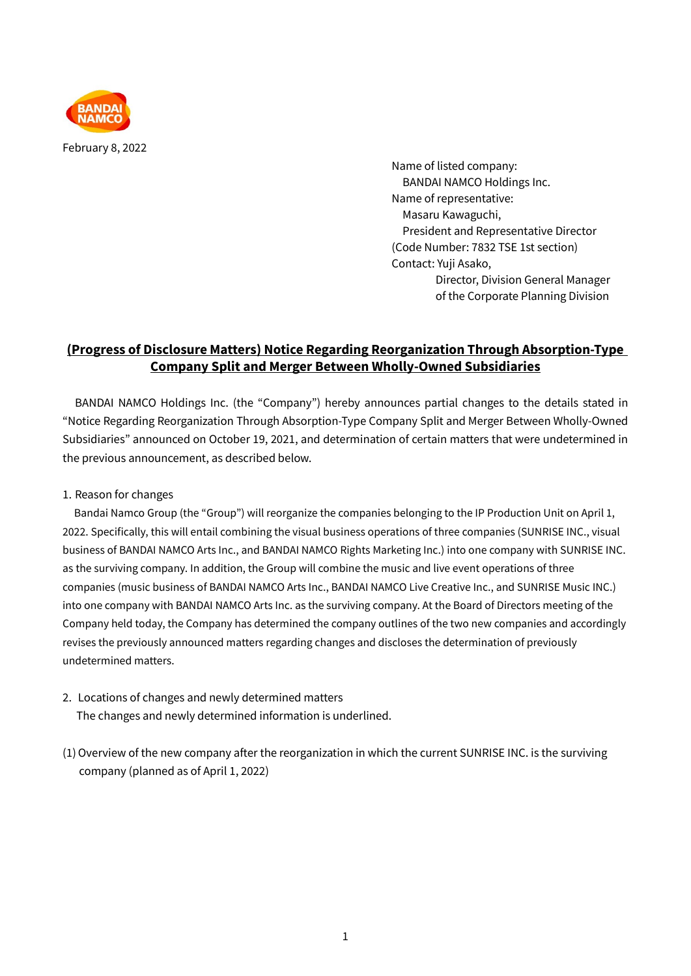

February 8, 2022

Name of listed company: BANDAI NAMCO Holdings Inc. Name of representative: Masaru Kawaguchi, President and Representative Director (Code Number: 7832 TSE 1st section) Contact: Yuji Asako, Director, Division General Manager of the Corporate Planning Division

# **(Progress of Disclosure Matters) Notice Regarding Reorganization Through Absorption-Type Company Split and Merger Between Wholly-Owned Subsidiaries**

BANDAI NAMCO Holdings Inc. (the "Company") hereby announces partial changes to the details stated in "Notice Regarding Reorganization Through Absorption-Type Company Split and Merger Between Wholly-Owned Subsidiaries" announced on October 19, 2021, and determination of certain matters that were undetermined in the previous announcement, as described below.

### 1. Reason for changes

Bandai Namco Group (the "Group") will reorganize the companies belonging to the IP Production Unit on April 1, 2022. Specifically, this will entail combining the visual business operations of three companies (SUNRISE INC., visual business of BANDAI NAMCO Arts Inc., and BANDAI NAMCO Rights Marketing Inc.) into one company with SUNRISE INC. as the surviving company. In addition, the Group will combine the music and live event operations of three companies (music business of BANDAI NAMCO Arts Inc., BANDAI NAMCO Live Creative Inc., and SUNRISE Music INC.) into one company with BANDAI NAMCO Arts Inc. as the surviving company. At the Board of Directors meeting of the Company held today, the Company has determined the company outlines of the two new companies and accordingly revises the previously announced matters regarding changes and discloses the determination of previously undetermined matters.

2. Locations of changes and newly determined matters

The changes and newly determined information is underlined.

(1)Overview of the new company after the reorganization in which the current SUNRISE INC. is the surviving company (planned as of April 1, 2022)